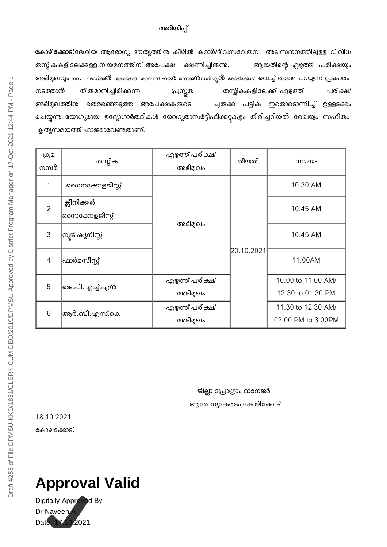## അറിയിപ്

കോഴിക്കോട്:ദേശീയ ആരോഗ്യ ദൗത്യത്തിനു കീഴിൽ കരാർ/ദിവസവേതന അടിസ്ഥാനത്തിലുള്ള വിവിധ തസ്കികകളിലേക്കുള്ള നിയമനത്തിന് അപേക്ഷ ക്ഷണിച്ചിരുന്ന. ആയതിന്റെ എഴുത്ത് പരീക്ഷയും അഭിമുഖവും ഗവ. മെഡിക്കൽ കോളെജ് കാമ്പസ് ഹയർ സെക്കൻഡറി സ്കൾ കോഴിക്കോട് വെച്ച് താഴെ പറയുന്ന പ്രകാരം നടത്താൻ തീരുമാനിച്ചിരിക്കുന്നു. പ്രസ്തത തസ്തികകളിലേക്ക് എഴുത്ത് പരീക്ഷ/ അഭിമുഖത്തിന്മ തെരഞ്ഞെടുത്ത അപേക്ഷകരുടെ ചുരുക്ക പട്ടിക ഇതൊടൊന്നിച്ച് ഉള്ളടക്കം ചെയ്യുന്നു. യോഗ്യരായ ഉദ്യോഗാർത്ഥികൾ യോഗ്യതാസർട്ടിഫിക്കറ്റുകളും തിരിച്ചറിയൽ രേഖയും സഹിതം കൃത്യസമയത്ത് ഹാജരാവേണ്ടതാണ്.

| ஞு<br>നമ്പർ    | തസ്കിക                         | എഴുത്ത് പരീക്ഷ/<br>അഭിമുഖം | തീയതി      | സമയം               |
|----------------|--------------------------------|----------------------------|------------|--------------------|
| 1              | ഗൈനക്കോളജിസ്റ്റ്               |                            |            | 10.30 AM           |
| $\overline{2}$ | ക്ലിനിക്കൽ<br> സൈക്കോളജിസ്റ്റ് |                            |            | 10.45 AM           |
| $\mathfrak{S}$ | ന്യൂടിഷ്യനിസ്റ്റ്              | അഭിമുഖം                    | 20.10.2021 | 10.45 AM           |
| $\overline{4}$ | ഫാർമസിസ്റ്റ്                   |                            |            | 11.00AM            |
| 5              | ജെ.പി.എച്ച്.എൻ                 | എഴുത്ത് പരീക്ഷ/            |            | 10.00 to 11.00 AM/ |
|                |                                | അഭിമുഖം                    |            | 12.30 to 01.30 PM  |
|                | ആർ.ബി.എസ്.കെ                   | എഴുത്ത് പരീക്ഷ/            |            | 11.30 to 12.30 AM/ |
| 6              |                                | അഭിമുഖം                    |            | 02.00 PM to 3.00PM |

ജില്ലാ പ്രോഗ്രാം മാനേജർ ആരോഗ്യകേരളം,കോഴിക്കോട്.

18.10.2021 കോഴിക്കോട്.

## **Approval Valid**

Digitally Approved By Dr Naveen Date: 17.10.2021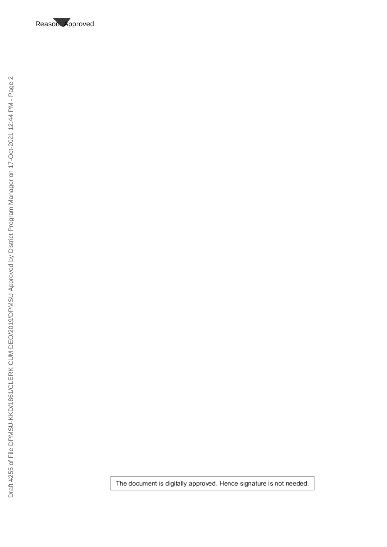Reason: Approved

The document is digitally approved. Hence signature is not needed.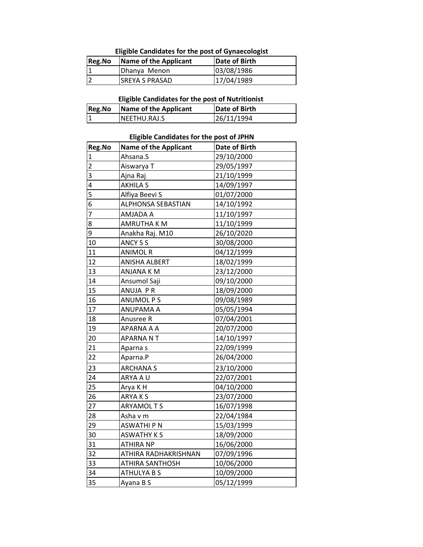**Eligible Candidates for the post of Gynaecologist**

| <b>Reg.No</b> | Name of the Applicant | Date of Birth |
|---------------|-----------------------|---------------|
|               | Dhanya Menon          | 03/08/1986    |
|               | <b>SREYA S PRASAD</b> | 17/04/1989    |

**Eligible Candidates for the post of Nutritionist** 

| <b>Reg.No</b> | Name of the Applicant | Date of Birth |
|---------------|-----------------------|---------------|
|               | INEETHU.RAJ.S         | 26/11/1994    |

## **Eligible Candidates for the post of JPHN**

| Reg.No                  | <b>Name of the Applicant</b> | Date of Birth |
|-------------------------|------------------------------|---------------|
| $\mathbf{1}$            | Ahsana.S                     | 29/10/2000    |
| $\overline{\mathbf{c}}$ | Aiswarya T                   | 29/05/1997    |
| 3                       | Ajna Raj                     | 21/10/1999    |
| 4                       | <b>AKHILA S</b>              | 14/09/1997    |
| 5                       | Alfiya Beevi S               | 01/07/2000    |
| 6                       | <b>ALPHONSA SEBASTIAN</b>    | 14/10/1992    |
| $\overline{7}$          | AMJADA A                     | 11/10/1997    |
| 8                       | <b>AMRUTHA K M</b>           | 11/10/1999    |
| 9                       | Anakha Raj. M10              | 26/10/2020    |
| 10                      | ANCY S S                     | 30/08/2000    |
| 11                      | <b>ANIMOL R</b>              | 04/12/1999    |
| 12                      | ANISHA ALBERT                | 18/02/1999    |
| 13                      | ANJANA K M                   | 23/12/2000    |
| 14                      | Ansumol Saji                 | 09/10/2000    |
| 15                      | ANUJA PR                     | 18/09/2000    |
| 16                      | <b>ANUMOL PS</b>             | 09/08/1989    |
| 17                      | ANUPAMA A                    | 05/05/1994    |
| 18                      | Anusree R                    | 07/04/2001    |
| 19                      | APARNA A A                   | 20/07/2000    |
| 20                      | APARNA NT                    | 14/10/1997    |
| 21                      | Aparna s                     | 22/09/1999    |
| 22                      | Aparna.P                     | 26/04/2000    |
| 23                      | <b>ARCHANA S</b>             | 23/10/2000    |
| 24                      | ARYA A U                     | 22/07/2001    |
| 25                      | Arya K H                     | 04/10/2000    |
| 26                      | ARYA K S                     | 23/07/2000    |
| 27                      | <b>ARYAMOLTS</b>             | 16/07/1998    |
| 28                      | Asha v m                     | 22/04/1984    |
| 29                      | <b>ASWATHI P N</b>           | 15/03/1999    |
| 30                      | <b>ASWATHY KS</b>            | 18/09/2000    |
| 31                      | <b>ATHIRA NP</b>             | 16/06/2000    |
| 32                      | ATHIRA RADHAKRISHNAN         | 07/09/1996    |
| 33                      | <b>ATHIRA SANTHOSH</b>       | 10/06/2000    |
| 34                      | <b>ATHULYA B S</b>           | 10/09/2000    |
| 35                      | Ayana B S                    | 05/12/1999    |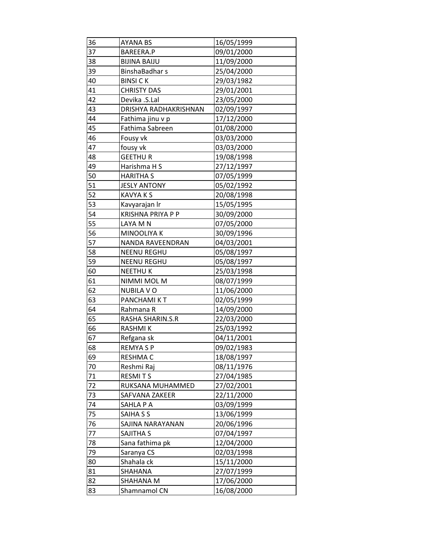| 36 | <b>AYANA BS</b>          | 16/05/1999 |
|----|--------------------------|------------|
| 37 | BAREERA.P                | 09/01/2000 |
| 38 | <b>BIJINA BAIJU</b>      | 11/09/2000 |
| 39 | BinshaBadhar s           | 25/04/2000 |
| 40 | <b>BINSI CK</b>          | 29/03/1982 |
| 41 | <b>CHRISTY DAS</b>       | 29/01/2001 |
| 42 | Devika .S.Lal            | 23/05/2000 |
| 43 | DRISHYA RADHAKRISHNAN    | 02/09/1997 |
| 44 | Fathima jinu v p         | 17/12/2000 |
| 45 | Fathima Sabreen          | 01/08/2000 |
| 46 | Fousy vk                 | 03/03/2000 |
| 47 | fousy vk                 | 03/03/2000 |
| 48 | <b>GEETHUR</b>           | 19/08/1998 |
| 49 | Harishma H S             | 27/12/1997 |
| 50 | <b>HARITHA S</b>         | 07/05/1999 |
| 51 | <b>JESLY ANTONY</b>      | 05/02/1992 |
| 52 | <b>KAVYA K S</b>         | 20/08/1998 |
| 53 | Kavyarajan Ir            | 15/05/1995 |
| 54 | <b>KRISHNA PRIYA P P</b> | 30/09/2000 |
| 55 | LAYA M N                 | 07/05/2000 |
| 56 | <b>MINOOLIYA K</b>       | 30/09/1996 |
| 57 | NANDA RAVEENDRAN         | 04/03/2001 |
| 58 | <b>NEENU REGHU</b>       | 05/08/1997 |
| 59 | <b>NEENU REGHU</b>       | 05/08/1997 |
| 60 | <b>NEETHUK</b>           | 25/03/1998 |
| 61 | NIMMI MOL M              | 08/07/1999 |
| 62 | <b>NUBILA VO</b>         | 11/06/2000 |
| 63 | PANCHAMI KT              | 02/05/1999 |
| 64 | Rahmana R                | 14/09/2000 |
| 65 | RASHA SHARIN.S.R         | 22/03/2000 |
| 66 | <b>RASHMIK</b>           | 25/03/1992 |
| 67 | Refgana sk               | 04/11/2001 |
| 68 | <b>REMYASP</b>           | 09/02/1983 |
| 69 | <b>RESHMAC</b>           | 18/08/1997 |
| 70 | Reshmi Raj               | 08/11/1976 |
| 71 | <b>RESMITS</b>           | 27/04/1985 |
| 72 | RUKSANA MUHAMMED         | 27/02/2001 |
| 73 | SAFVANA ZAKEER           | 22/11/2000 |
| 74 | SAHLA P A                | 03/09/1999 |
| 75 | SAIHA S S                | 13/06/1999 |
| 76 | SAJINA NARAYANAN         | 20/06/1996 |
| 77 | SAJITHA S                | 07/04/1997 |
| 78 | Sana fathima pk          | 12/04/2000 |
| 79 | Saranya CS               | 02/03/1998 |
| 80 | Shahala ck               | 15/11/2000 |
| 81 | SHAHANA                  | 27/07/1999 |
| 82 | SHAHANA M                | 17/06/2000 |
| 83 | Shamnamol CN             | 16/08/2000 |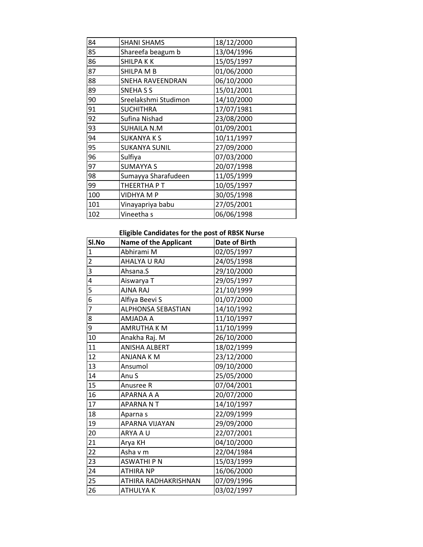| 84  | <b>SHANI SHAMS</b>   | 18/12/2000 |
|-----|----------------------|------------|
| 85  | Shareefa beagum b    | 13/04/1996 |
| 86  | <b>SHILPAKK</b>      | 15/05/1997 |
| 87  | SHILPA M B           | 01/06/2000 |
| 88  | SNEHA RAVEENDRAN     | 06/10/2000 |
| 89  | SNEHA S S            | 15/01/2001 |
| 90  | Sreelakshmi Studimon | 14/10/2000 |
| 91  | <b>SUCHITHRA</b>     | 17/07/1981 |
| 92  | Sufina Nishad        | 23/08/2000 |
| 93  | <b>SUHAILA N.M</b>   | 01/09/2001 |
| 94  | <b>SUKANYA K S</b>   | 10/11/1997 |
| 95  | <b>SUKANYA SUNIL</b> | 27/09/2000 |
| 96  | Sulfiya              | 07/03/2000 |
| 97  | <b>SUMAYYA S</b>     | 20/07/1998 |
| 98  | Sumayya Sharafudeen  | 11/05/1999 |
| 99  | THEERTHA P T         | 10/05/1997 |
| 100 | <b>VIDHYA M P</b>    | 30/05/1998 |
| 101 | Vinayapriya babu     | 27/05/2001 |
| 102 | Vineetha s           | 06/06/1998 |

## **Eligible Candidates for the post of RBSK Nurse**

| Sl.No          | <b>Name of the Applicant</b> | <b>Date of Birth</b> |
|----------------|------------------------------|----------------------|
| $\mathbf{1}$   | Abhirami M                   | 02/05/1997           |
| $\overline{2}$ | AHALYA U RAJ                 | 24/05/1998           |
| 3              | Ahsana.S                     | 29/10/2000           |
| 4              | Aiswarya T                   | 29/05/1997           |
| 5              | AJNA RAJ                     | 21/10/1999           |
| 6              | Alfiya Beevi S               | 01/07/2000           |
| $\overline{7}$ | ALPHONSA SEBASTIAN           | 14/10/1992           |
| 8              | AMJADA A                     | 11/10/1997           |
| 9              | <b>AMRUTHA K M</b>           | 11/10/1999           |
| 10             | Anakha Raj. M                | 26/10/2000           |
| 11             | <b>ANISHA ALBERT</b>         | 18/02/1999           |
| 12             | ANJANA K M                   | 23/12/2000           |
| 13             | Ansumol                      | 09/10/2000           |
| 14             | Anu S                        | 25/05/2000           |
| 15             | Anusree R                    | 07/04/2001           |
| 16             | APARNA A A                   | 20/07/2000           |
| 17             | APARNANT                     | 14/10/1997           |
| 18             | Aparna s                     | 22/09/1999           |
| 19             | APARNA VIJAYAN               | 29/09/2000           |
| 20             | ARYA A U                     | 22/07/2001           |
| 21             | Arya KH                      | 04/10/2000           |
| 22             | Asha v m                     | 22/04/1984           |
| 23             | ASWATHI P N                  | 15/03/1999           |
| 24             | <b>ATHIRA NP</b>             | 16/06/2000           |
| 25             | ATHIRA RADHAKRISHNAN         | 07/09/1996           |
| 26             | ATHULYA K                    | 03/02/1997           |